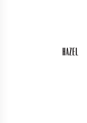# **HAZEL**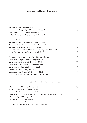# **Local Aperitif, Liqueurs & Vermouth**

| Melbourne Sake, Brunswick 90ml                                | 16 |
|---------------------------------------------------------------|----|
| Poor Tom's Imbroglio Aperitif, Marrickville 60ml              | 10 |
| Okar Orange Tropic Mistelle, Adelaide 90ml                    | 10 |
| St. Felix Bitter Citrus Aperitivo, Mordialloc 60ml            | 12 |
| Maidenii Dry Vermouth, Central Vic 60ml                       | 12 |
| Maidenii La Tonique Quinquina, Central Vic 60ml               | 13 |
| Adelaide Hills Rosé Vermouth, Adelaide Hills 60ml             | 12 |
| Maidenii Sweet Vermouth, Central Vic 60ml                     | 12 |
| Maidenii Classic Unfiltered Vermouth Magnum, Central Vic 60ml | 12 |
| Unico Zelo 'Yuzu' Sweet Vermouth, Adelaide 60ml               | 12 |
| Applewood 'Unico Mando' Mandarin Liqueur, Adelaide 45ml       | 10 |
| Marionette Orange Curacao, Collingwood 30ml                   | 10 |
| Marionette Blue Curacao, Collingwood 30ml                     | 10 |
| Marionette Apricot Brandy, Collingwood 30ml                   | 10 |
| Marionette Dry Cassis, Collingwood 30ml                       | 10 |
| Marionette Peach, Collingwood 30ml                            | 11 |
| Marionette Bitter Curacao, Collingwood 30ml                   | 11 |
| Charles Oates Pommeau de Tasmanie, Tasmania 45ml              | 13 |
|                                                               |    |

# **International Aperitif, Liqueurs & Vermouth**

| Lillet Blanc Aperitif Wine, Bordeaux 60ml                              | 10 |
|------------------------------------------------------------------------|----|
| Noilly Prat Dry Vermouth, France 60ml                                  | 10 |
| Belsazar Dry Vermouth, Germany 60ml                                    | 12 |
| Belsazar Dry Vermouth Riesling Edition 'Dr Loosen', Mosel Germany 60ml | 16 |
| Lillet Rose Aperitif Wine, Bordeaux 60ml                               | 10 |
| Carpano Antica Formula, Italy 60ml                                     | 14 |
| Cocchi Torino, Italy 60ml                                              | 15 |
| Antica Torino Vermouth Di Torino Rosso, Italy 60ml                     | 15 |
|                                                                        |    |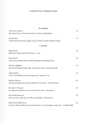#### **Cocktails & Non-Alcoholic Drinks**

| No Alcohol                                                                           |    |  |
|--------------------------------------------------------------------------------------|----|--|
| All Citrus Chinotto                                                                  | 14 |  |
| 'Recycled Citrus' Chinotto, Strawberry-Tops, Seedlip Spice                           |    |  |
| Garden Sour                                                                          | 14 |  |
| Cold Pressed Pink Lady Apples, Granny Smith Cordial, Seedlip Garden                  |    |  |
|                                                                                      |    |  |
| Cocktails                                                                            |    |  |
| Sake Smash                                                                           | 16 |  |
| Melbourne Sake, House Plum Wine + Lime                                               |    |  |
|                                                                                      |    |  |
| Hazel Spritz<br>Autonomy Davidson Plum Aperitif, Bergamot, Sparkling Wine            | 18 |  |
|                                                                                      |    |  |
| Whiskey Highball                                                                     | 21 |  |
| Morris Rutherglen Single Malt, Preserved Lemon + Kumquat Soda                        |    |  |
| Apple Gimlet                                                                         | 21 |  |
| Lots of The Melbourne Gin Company Gin, Apple, Citrus                                 |    |  |
|                                                                                      |    |  |
| Modern Martini<br>Charlatan Modern Gin, Oyster Shell, Dry Vermouth + Cocktail Onion  | 24 |  |
|                                                                                      |    |  |
| Strawberry Negroni                                                                   | 22 |  |
| Gin, Marionette Bitter Curacao, Sweet Vermouth + Strawberry                          |    |  |
| Hazel Old Fashioned                                                                  | 22 |  |
| Starward Two-Fold, Green Coffee, Macadamia + Wattleseed                              |    |  |
|                                                                                      |    |  |
| <b>Black Forest Milk Punch</b>                                                       | 22 |  |
| St Agnes Brandy, Marionette Cassis & Mure, Cacao, Raspberry Brownie + Clarified Milk |    |  |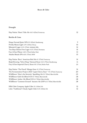#### **Beers & Cider**

# **Draught**

| Hop Nation 'Heart' Pale Ale 4.6% 425ml, Footscray                       | 12 |
|-------------------------------------------------------------------------|----|
| <b>Bottles &amp; Cans</b>                                               |    |
| Heaps Normal Quiet XPA 0% 355ml, Dandenong                              | 9  |
| Prickly Moses Light 2.9% 330ml, Otway                                   | 10 |
| Mismatch Lager 4.5% 375ml, Adelaide Hills                               | 12 |
| Two Bays Gluten Free Lager 4.5% 375ml, Dromana                          | 14 |
| Fury & Son Pilsner 4.8% 375ml, Keilor Park                              | 13 |
| Akasha Mosaic IPA 6.8% 375ml, NSW                                       | 15 |
| Hop Nation 'Buzz' American Red Ale 6% 375ml, Footscray                  | 14 |
| Bojak Brewing 'Velvet King' Oatmeal Stout 5.2% 375ml, Dandenong         | 14 |
| Fury & Son Imperial Cherry Stout 10% 375ml, Keilor Park                 | 20 |
| Hop Nation 'The Punch' Mango Gose 4% 375ml, Footscray                   | 14 |
| The Fermentation Project 2021 'Lapin Cherry Sour' 7.1% 375ml, Footscray | 20 |
| Wildflower 'How's the Serenity' Sparkling Ale 5% 750ml, Marrickville    | 35 |
| Wildflower Gold Ale Blend #34 5% 750ml. Marrickville                    | 38 |
| Wildflower Amber Ale Blend #34 6% 750ml, Marrickville                   | 38 |
| Wildflower 'Common Ground' Autumn Ale 2019 6.1% 750ml, Marrickville     | 38 |
| Hills Cider Company Apple Cider 5% 330ml, SA                            | 12 |
| Lobo 'Traditional' Cloudy Apple Cider 5.5% 330ml, SA                    | 12 |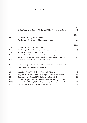## **Wines By The Glass**

|      |                                                                             | 75ml  |
|------|-----------------------------------------------------------------------------|-------|
| NV   | Equipo Navazos La Bota 91 'Macharnudo' Fino Sherry, Jerez, Spain            | 17    |
|      |                                                                             | 120ml |
| NV   | Fizz Prosecco, King Valley, Victoria                                        | 15    |
| NV   | Duval-Leroy 'Brut Reserve' Champagne, France                                | 29    |
|      |                                                                             | 150ml |
| 2021 | Provenance Riesling, Henty, Victoria                                        | 15    |
| 2020 | Gobelsburg 'Löss' Grüner Veltliner, Kamptal, Austria                        | 16    |
| 2020 | Gil Graves Viognier, Bendigo, Victoria                                      | 16    |
| 2020 | La Pieve 'Luna Bianca' Vermentino blend, Tuscany, Italy                     | 17    |
| 2020 | Amirault 'Les Quarterons' Chenin Blanc, Anjou, Loire Valley, France         | 26    |
| 2021 | Thick as Thieves Chardonnay, Yarra Valley, Victoria                         | 19    |
| 2017 | Côtier Sauvignon Blanc Skin Contact, Mornington Peninsula, Victoria         | 17    |
| 2021 | Scion Durif Rosé, Rutherglen, Victoria                                      | 15    |
| 2019 | Leura Park Pinot Noir, Bellarine Peninsula, Victoria                        | 19    |
| 2019 | Rougeot-Dupin Pinot Noir Givry, Burgundy, France By Coravin                 | 35    |
| 2019 | Giacomo Boveri 'Marzo 1878' Barbera, Piedmont, Italy                        | 20    |
| 2015 | Crissante 'Capalot' Nebbiolo, Barolo, Piedmont, Italy By Coravin            | 49    |
| 2020 | Massena 'The Moonlight Run' Grenache blend, Barossa Valley, South Australia | 17    |
| 2018 | Condie 'The Gwen' Shiraz, Heathcote, Victoria                               | 18    |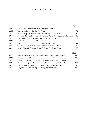## **Small Bottles and Big Bottles**

|      |                                                                             | 375ml  |
|------|-----------------------------------------------------------------------------|--------|
| 2020 | Robert Weil 'Trocken' Riesling, Rheingau, Germany                           | 90     |
| 2020 | Laroche 'Saint Martin' Chablis, France                                      | 84     |
| 2018 | Nick O'Leary Chardonnay, Tumbarumba, New South Wales                        | 45     |
| 2019 | Domaine Huet 'Le Haut-Lieu' Sec Chenin Blanc, Vouvray, Loire Valley, France | 110    |
| 2020 | Triennes Cinsault Grenache Rosé, Provence, France                           | 39     |
| 2020 | Pooley 'Cooinda Vineyard' Pinot Noir, Tasmania                              | 90     |
| 2014 | Mas Que Vinos 'Ercavio' Tempranillo, Toledo, Spain                          | 44     |
| 2019 | Cullen Cabernet Merlot, Margaret River, Western Australia                   | 80     |
| 2015 | Clos du Marquis Cabernet blend, St Julien, Bordeaux, France                 | 175    |
|      |                                                                             | 1500ml |
| NV.  | Laherte Frere 'Brut Nature' Blanc de Blanc, Champagne, France               | 470    |
| 2020 | Arnaud Lambert 'Clos de Midi' Chenin Blanc, Loire Valley, France            | 225    |
| 2019 | Rougeot 'Clos des Six Ouvrees' Bourgogne Blanc, Burgundy, France            | 320    |
| 2021 | Nocturne Sangiovese/Nebbiolo Rosé, Margaret River, Western Australia        | 155    |
| 2019 | Bernard Metrat 'La Roilette' Gamay, Fleurie, Beaujolais, France             | 190    |
| 2018 | Rougeot 'Les Vaux' Bourgogne Rouge, Burgundy, France                        | 320    |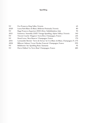## **Sparkling**

| <b>NV</b> | Fizz Prosecco, King Valley, Victoria                                             | 65  |
|-----------|----------------------------------------------------------------------------------|-----|
| 2020      | Leura Park Blanc de Blanc, Bellerine Peninsula, Victoria                         | 80  |
| NV        | Ruge Prosecco Superiore DOCG Brut, Valdobbiadene, Italy                          | 90  |
| 2013      | Eminence 'Assembly LDZD' Vintage Sparkling, Alpine Valleys, Victoria             | 140 |
| NV        | Vincent Couche 'Elegance' Extra Brut, Champagne, France                          | 215 |
| <b>NV</b> | Duval-Leroy 'Brut Reserve' Champagne, France                                     | 170 |
| 2014      | Larmandier Bernier 'Terre de Vertus' 1 er Cru Blanc de Blanc, Champagne, Fr. 375 |     |
| 2002      | Billecart-Salmon 'Cuvee Nicolas-Francois' Champagne, France                      | 595 |
| <b>NV</b> | Bellebonne 'bis' Sparkling Rosé, Tasmania                                        | 95  |
| NV        | Pierre Paillard 'Le Terre Rosé' Champagne, France                                | 285 |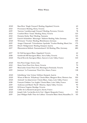#### **White Wines**

| 2020 | Bass River 'Single Vineyard' Riesling, Gippsland, Victoria                    | 60  |
|------|-------------------------------------------------------------------------------|-----|
| 2021 | Provenance Riesling, Henty, Victoria                                          | 70  |
| 2019 | Tournon 'Landsborough Vineyard' Riesling, Pyrenees, Victoria                  | 78  |
| 2021 | Crawford River 'Estate' Riesling, Henty, Victoria                             | 125 |
| 2021 | Domaine Simha 'Rani' Riesling, Tasmania                                       | 145 |
| 2017 | Emrich-Schönleber 'Monzinger' Kabinett Riesling, Nahe, Germany                | 110 |
| 2020 | Wittmann 'Trocken' Riesling, Rheinhessen, Germany                             | 105 |
| 2019 | Ansgar Clüsserath 'Trittenheimer Apotheke' Trocken Riesling, Mosel, Ger.      | 175 |
| 2015 | Hirsch 'Heiligenstein' Riesling, Kamptal, Austria                             | 185 |
| 2017 | Ökonomierat Rebholz 'Kastanienbusch' GG Riesling, Pflaz, Germany              | 280 |
| 2017 | Dr Folk Sauvignon Blanc, Gippsland, Victoria                                  | 62  |
| 2018 | Gembrook Hill Sauvignon Blanc, Yarra Valley, Victoria                         | 92  |
| 2020 | Pascal Reverdy Sauvignon Blanc, Sancerre Loire Valley, France                 | 130 |
| 2020 | Kris Pinot Grigio, Veneto, Italy                                              | 60  |
| 2021 | Henty Farm Pinot Gris, Henty, Victoria                                        | 70  |
| 2017 | Moorooduc Estate Pinot Gris, Mornington Peninsula, Victoria                   | 98  |
| 2019 | Josmeyer 'Le Fromenteau' Pinot Gris, Alsace, France                           | 138 |
| 2020 | Gobelsburg 'Löss' Grüner Veltliner, Kamptal, Austria                          | 78  |
| 2020 | Wines of Merritt 'Wilyabrup' Chenin Blanc, Margaret River, Western Aus.       | 100 |
| 2020 | Amirault 'Les Quarterons' Chenin Blanc, Anjou, Loire Valley, France           | 122 |
| 2018 | François Chidaine 'Les Argiles' Chenin Blanc, Loire Valley, France            | 160 |
| 2019 | Anderson and Marsh 'Parell' Albarino, Alpine Valley, Victoria                 | 90  |
| 2020 | Gil Graves Viognier, Bendigo, Victoria                                        | 78  |
| 2020 | Cellier de La Baraterie Jacquere, Savoie, France                              | 96  |
| 2020 | Joseph Colin 'Les Jardins de la Côte' Aligoté, Burgundy, France               | 120 |
| 2019 | Jean-Philippe Padié 'Fleur de Cailloux' Grenache Blanc blend, Roussillon, Fr. | 115 |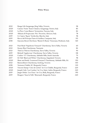#### **White Wines**

| 2021 | Range Life Garganega, King Valley, Victoria                         | 58  |
|------|---------------------------------------------------------------------|-----|
| 2020 | Canoso 'Fonte' Soave Classico, Garganega, Veneto, Italy             | 85  |
| 2020 | La Pieve 'Luna Bianca' Vermentino, Tuscany, Italy                   | 82  |
| 2020 | Abbazia di Propezzano 'Pec' Pecorino, Abruzzo, Italy                | 78  |
| 2019 | Ca' Liptra 'Kypra' Verdicchio, Marche, Italy                        | 98  |
| 2019 | Rocca del Principe Fiano di Avellino, Campania, Italy               | 115 |
| 2018 | Giacomo Boveri Derthona 'Muntà l'è Ruma' Timorasso, Piedmont, Italy | 160 |
| 2021 | Punt Road 'Napoleone Vineyard' Chardonnay, Yarra Valley, Victoria   | 60  |
| 2021 | Stoney Rise Chardonnay, Tasmania                                    | 84  |
| 2021 | Thick as Thieves Chardonnay, Yarra Valley, Victoria                 | 90  |
| 2019 | Bicknell 'Applecross' Chardonnay, Yarra Valley, Victoria            | 118 |
| 2020 | Coulter 'C1' Chardonnay, Adelaide Hills, South Australia            | 75  |
| 2017 | Dr Folk 'Black and White' Chardonnay, Gippsland, Victoria           | 98  |
| 2020 | Shaw and Smith 'Lenswood Vineyard' Chardonnay, Adelaide Hills, SA   | 190 |
| 2021 | Bannockburn Chardonnay, Geelong, Victoria                           | 150 |
| 2018 | Ventoura Chablis AC, Burgundy, France                               | 130 |
| 2020 | Vincent Dampt 'Côte de Léchet' 1er Cru Chablis, Burgundy, France    | 220 |
| 2020 | Joseph Colin 'Les Combes' 1er Cru, Saint-Aubin, Burgundy, France    | 320 |
| 2019 | Jaeger Defaix 'Les Cloux' 1er Cru, Rully, Burgundy, France          | 190 |
| 2019 | Rougeot 'Sous la Velle' Meursault, Burgundy, France                 | 320 |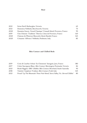**Rosé**

| 2021 | Scion Durif, Rutherglen, Victoria                                 | 65  |
|------|-------------------------------------------------------------------|-----|
| 2021 | Domenica Nebbiolo, Beechworth, Victoria                           | 75  |
| 2020 | Domaine Gavoty 'Grand Classique' Cinsault blend, Provence, France | 90  |
| 2019 | Clos Cibonne 'Tradition' Tiberon, Côtes de Provence, France       | 120 |
| 2020 | Chateau de Pibarnon Mouvedre blend, Bandol, France                | 165 |
| 2020 | Crissante 'Affresco' Nebbiolo, Piedmont, Italy                    | 85  |

## **Skin Contact and Chilled Reds**

| 82                                                                                |
|-----------------------------------------------------------------------------------|
| 90                                                                                |
| 125                                                                               |
| Proud 'Up The Mountain' Pinot Noir blend, Yarra Valley, Vic. Served Chilled<br>80 |
|                                                                                   |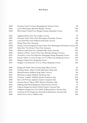#### **Red Wines**

| 2018 | Domaine Trenel 'Coteaux Bourguignons' Gamay, France                              | 58  |
|------|----------------------------------------------------------------------------------|-----|
| 2021 | Lyon's Will Gamay, Macedon Ranges, Victoria                                      | 100 |
| 2020 | Mee Godard 'Grand Cras' Morgon, Gamay, Beaujolais, France                        | 160 |
| 2021 | Lighthand Pinot Noir, Yarra Valley, Victoria                                     | 78  |
| 2019 | Principia 'Estate' Pinot Noir, Mornington Peninsula, Victoria                    | 110 |
| 2019 | Leura Park Pinot Noir, Bellarine Peninsula, Victoria                             | 88  |
| 2021 | Rivulet Pinot Noir, Tasmania                                                     | 100 |
| 2020 | Scorpo 'Eocene Original Vineyard' Pinot Noir, Mornington Peninsula, Victoria 195 |     |
| 2019 | Holm Oak 'The Wizard' Pinot Noir, Tasmania                                       | 150 |
| 2020 | Whisson Lake Pinot Noir, Adelaide Hills, South Australia                         | 105 |
| 2018 | Athletes of Wine 'Vinero' Pinot Noir, Macedon Ranges, Victoria                   | 120 |
| 2019 | Tortochot 'Cuvée Fine Sélection' Bourgogne Rouge, Burgundy, France               | 160 |
| 2017 | Jeannin-Naltet 'Le Clos l'Eveque' 1 er Cru, Mercurey, Burgundy, France           | 185 |
| 2019 | Rougeot-Dupin Givry, Burgundy, France                                            | 175 |
| 2019 | Rougeot 'Les Santenots' 1er Cru, Volnay, Burgundy, France                        | 360 |
| 2018 | Range Life 'Rosso' Nero d'Avola, King Valley, Victoria                           | 56  |
| 2019 | Girolamo Russo 'a'Rina' Nerello Mascalese, Sicily, Italy                         | 135 |
| 2019 | Mutual Promise Nebbiolo, King Valley, Victoria                                   | 80  |
| 2019 | Monchiero Langhe Nebbiolo, Piedmont, Italy                                       | 125 |
| 2015 | Crissante 'Capalot' Nebbiolo, Barolo, Piedmont, Italy                            | 240 |
| 2018 | Rocca del Principe Aglianico Irpinia, Campania, Italy                            | 108 |
| 2019 | Giacomo Boveri 'Marzo 1878' Barbera, Piedmont, Italy                             | 98  |
| 2021 | Fighting Gully Road Sangiovese, Beechworth, Victoria                             | 76  |
| 2017 | Caparsa Sangiovese blend, Chianti Classico, Tuscany, Italy                       | 110 |
| 2017 | Valdipiatta Sangiovese, Vino Nobile di Montepulcino, Tuscany, Italy              | 140 |
| 2017 | Casanova di Neri Sangiovese, Brunello di Montalcino, Tuscany, Italy              | 295 |
| 2018 | Nasciri Greco Nero, Calabria, Italy                                              | 100 |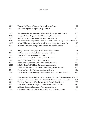#### **Red Wines**

| 2019 | Tentenublo 'Custero' Tempranillo blend, Rioja, Spain                           | 92  |
|------|--------------------------------------------------------------------------------|-----|
| 2019 | Mayford Tempranillo, Alpine Valley, Victoria                                   | 100 |
| 2018 | Weingut Prieler 'Johanneshöhe' Blaufränkisch, Burgenland, Austria              | 100 |
| 2020 | Bodegas Nekeas 'Cepa Por Cepa' Grenache, Navarra, Spain                        | 72  |
| 2021 | Dhillon 'Col Mountain' Grenache, Heathcote, Victoria                           | 100 |
| 2020 | Massena 'The Moonlight Run' Grenache blend, Barossa Valley, South Australia 82 |     |
| 2020 | Alkina 'Old Quarter' Grenache blend, Barossa Valley, South Australia           | 170 |
| 2019 | Domaine Tempier 'Classique' Mouvedre blend, Bandol, France                     | 170 |
| 2021 | Honky Chateau 'Decoupage' Syrah, Yarra Valley, Victoria                        | 72  |
| 2019 | Bellbrae 'Bells' Syrah, Bellarine Peninsula, Victoria                          | 98  |
| 2018 | Two Cells Shiraz, Beechworth, Victoria                                         | 78  |
| 2018 | Jericho 'S3' Shiraz, McLaren Vale, South Australia                             | 68  |
| 2018 | Condie 'The Gwen' Shiraz, Heathcote, Victoria                                  | 82  |
| 2018 | Mount Horrocks Shiraz, Clare Valley, South Australia                           | 120 |
| 2020 | Spinifex 'Bete Noir' Shiraz, Barossa, South Australia                          | 100 |
| 2018 | Barr-Eden 'Avenue to Gold' Shiraz, Eden Valley, South Australia                | 155 |
| 2018 | Cambrien 'La Pleiade' Shiraz, Heathcote, Victoria                              | 160 |
| 2020 | The Standish Wine Company 'The Standish' Shiraz, Barossa Valley, SA            | 295 |
| 2021 | Riley Harrison 'Vento do Mar' Cabernet Franc, McLaren Vale, South Australia    | 88  |
| 2019 | Le Petit Saint Vincent 'Petit Saint Vincent' Cabernet Franc, Loire Valley, Fr. | 105 |
| 2019 | Wantirna Estate 'Amelia' Cabernet Blend, Yarra Valley, Victoria                | 180 |
| 2015 | Bellwether Cabernet Sauvignon, Coonawarra, South Australia                     | 135 |
| 2018 | All Saints Cabernet Sauvignon, Rutherglen, Victoria                            | 80  |
| 2010 | Chateau Monbrison Cabernet blend, Margaux, Bordeaux, France                    | 330 |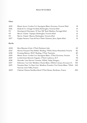#### **Sweet & Fortified**

## **Glass**

| 2010      | Mount Avoca 'Cordon Cut' Sauvignon Blanc, Pyrenees, Victoria 90ml | 18 |
|-----------|-------------------------------------------------------------------|----|
| 2016      | Simão & Co. Vintage Fortified, Rutherglen, Victoria 60ml          | 14 |
| <b>NV</b> | Henriques & Henriques '10 Year Old' Boal, Madeira, Portugal 60ml  | 16 |
| <b>NV</b> | Morris 'Classic' Topaque, Rutherglen, Victoria 60ml               | 12 |
| <b>NV</b> | Morris 'Classic' Muscat, Rutherglen, Victoria 60ml                | 12 |
| 2017      | Equipo Navazos 'Casa del Inca' Pedro Ximenez, Jerez, Spain 60ml   | 16 |

#### **Bottle**

| 2020 | Bera Moscato d'Asti, 375ml, Piedmont, Italy                              | 60  |
|------|--------------------------------------------------------------------------|-----|
| 2021 | Heroes Vineyard 'Das Helden' Riesling, 750ml, Otway Hinterland, Victoria | 82  |
| 2018 | Pressing Matters 'R139' Riesling, 375ml, Tasmania                        | 80  |
| 2010 | Mount Avoca 'Cordon Cut' Sauvignon Blanc, 375ml, Pyrenees, Victoria      | 72  |
| 2019 | Lerida Estate Botrytis Viognier, 375ml, Canberra, ACT                    | 98  |
| 2018 | Disznóko 'Late Harvest' Furmint, 500ml, Tokaji, Hungary                  | 110 |
| 2017 | Delesvaux 'Les Clos' Moelleux Chenin Blanc, 500ml, Coteaux du Layon, Fr. | 150 |
| 2019 | Domaine Huet 'Le Haut-Lieu' Moelleux Première Trie Chenin Blanc, 750ml   | 320 |
|      | Vouvray, Loire Valley, France                                            |     |
| 2009 | Château Climens Semillon blend 375ml, Barsac, Bordeaux, France           | 300 |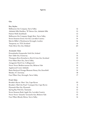## **Gin**

| Dry Styles                                                                 |    |
|----------------------------------------------------------------------------|----|
| Melbourne Gin Company, Yarra Valley                                        | 12 |
| Adelaide Hills Distillery 78° Better Gin, Adelaide Hills                   |    |
| Patient Wolf, Southbank<br>Melbourne Gin Company Single Shot, Yarra Valley | 13 |
|                                                                            | 14 |
| Seven Seasons Green Ant Gin, Larrakia Country                              | 14 |
| Martin Miller's Westbourne Strength, London                                | 16 |
| Tanqueray no. TEN, Scotland                                                | 16 |
| Nolet Silver Dry Gin, Holland                                              | 20 |
| <b>Aromatic Gins</b>                                                       |    |
| Drumshanbo Gunpowder Irish Gin, Ireland                                    | 12 |
| Dart Table Gin, Footscray                                                  | 14 |
| Thompson Bros Strawberry, Kiwi & Lime Gin, Scotland                        | 15 |
| Four Pillars Rare Dry, Yarra Valley                                        | 13 |
| Antagonist Hard Cut, Collingwood                                           | 13 |
| Never Never Mediterranean Gin, Mclaren Vale                                | 14 |
| Applewood Coral, Adelaide                                                  | 13 |
| Basin Backyard Orange Blossom Honey Gin, Knoxfield                         | 14 |
| Monkey 47, Germany                                                         | 18 |
| Four Pillars Navy Strength, Yarra Valley                                   | 17 |
| <b>Fruit Gins</b>                                                          |    |
| Brookie's Byron 'Slow' Gin, Cape Byron                                     | 10 |
| Brookie's 'Shirl the Pearl' Cumquat Gin, Cape Byron                        | 11 |
| Plymouth Sloe Gin, Plymouth                                                | 12 |
| Spring Bay Pink Gin, Tasmania                                              | 13 |
| Seven Seasons Bush Apple Gin, Larrakia Country                             | 13 |
| Never Never 'Ginache' Grenache Gin, Mclaren Vale                           | 15 |
| Four Pillars Bloody Shiraz, Yarra Valley                                   | 16 |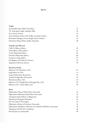| Vodka                                                              |    |
|--------------------------------------------------------------------|----|
| Grainshaker Rye Vodka, Thornbury                                   | 12 |
| 78° Australian Vodka, Adelaide Hills                               | 12 |
| Grey Goose, France                                                 | 14 |
| Seven Seasons Native Yam Vodka, Larrakia Country                   | 14 |
| Belvedere Smogory Forest Single Estate, Poland                     | 16 |
| Hartshorn Sheep Whey Vodka, Tasmania                               | 18 |
| <b>Tequila and Mezcal</b>                                          |    |
| Calle 23 Blanco, Jalisco                                           | 12 |
| Ocho Blanco Plata, Jalisco                                         | 14 |
| Arette Reposado, Jalisco                                           | 15 |
| Fortaleza Reposado, Jalisco                                        | 20 |
| Fortaleza Anejo, Jalisco                                           | 27 |
| Del Maguey Vida Mezcal, Oaxaca                                     | 12 |
| Ilegal Joven Mezcal, Oaxaca                                        | 19 |
| Bourbon & Rye                                                      |    |
| Michters US*1 Bourbon, USA                                         | 13 |
| Eagle Rare 10, USA                                                 | 13 |
| Gospel Solera Rye, Brunswick                                       | 13 |
| Gospel Straight Rye, Brunswick                                     | 13 |
| Rittenhouse Rye, USA                                               | 13 |
| Michter's US*1 Single Barrel Straight Rye, USA                     | 15 |
| Michter's US *1 Sour Mash, USA                                     | 15 |
| Rum                                                                |    |
| Diplomatico Planas White Rum, Venezuela                            | 12 |
| Diplomatico Mantuano Dark Rum, Venezuela                           | 12 |
| Antagonist Spiced Rum, Collingwood                                 | 12 |
| Plantation Pineapple, Barbados                                     | 12 |
| Flor de Caña 12, Nicaragua                                         | 13 |
| Diplomatico Reserva Exclusiva, Venezuela                           | 16 |
| Diplomatico Distillery Collection No.2 Barbet Still Rum, Venezuela | 18 |
| Plantation O.F.T.D 69%, Caribbean                                  | 18 |
| Ron Zacapa 23, Guatemala                                           | 18 |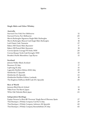### **Single Malts and Other Whiskey**

| Australia                                             |    |
|-------------------------------------------------------|----|
| Starward Two-Fold, Port Melbourne                     | 12 |
| Starward Fortis, Port Melbourne                       | 20 |
| Morris Rutherglen Signature Single Malt, Rutherglen   | 14 |
| Morris Rutherglen Muscat Cask Single Malt, Rutherglen | 18 |
| Lark Classic Cask, Tasmania                           | 27 |
| Bakery Hill Classic Malt, Bayswater                   | 17 |
| Bakery Hill Peated Malt, Bayswater                    | 18 |
| Corowa Quicks Courage PX finish, NSW                  | 20 |
| Corowa Bosque Verde Cask Strength, NSW                | 20 |
| Brookie's Pacific Moonshine, Cape Byron               | 13 |

## **Scotland**

| Johnnie Walker Black, Scotland                   | 12 |
|--------------------------------------------------|----|
| Bowmore 15, Islay                                | 17 |
| Laphroaig 10, Islay                              | 15 |
| Lagavulin Distillers Edition 2020, Islay         | 30 |
| Glenfarclas 17, Speyside                         | 19 |
| Glenfarclas 25, Speyside                         | 33 |
| Glenkinchie Distillers Edition, Lowlands         | 18 |
| The Singleton Dufftown Refill Cask 51%, Speyside | 30 |

| Rest of World                   |    |
|---------------------------------|----|
| Jameson Black Barrel, Ireland   |    |
| Nikka From The Barrel, Japan    | 18 |
| White Oak Tokinoka Black, Japan | 24 |

# **Independent Bottlings**

| Equipo Navazos La Bota 88 'Overseas' Single Barrel Olorosso, Spain | 27 |
|--------------------------------------------------------------------|----|
| That Boutique-y Whisky Company Caol Ila 11, Islay                  | 29 |
| That Boutique-y Whisky Company Aultmore 28, Speyside               | 60 |
| That Boutique-y Whisky Company Bunnahabhain 29, Islay              | 65 |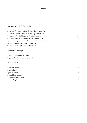### **Cognac, Brandy & Eau de Vie**

| St Agnes 'Bartender's Cut' Brandy, South Australia         | 12 |
|------------------------------------------------------------|----|
| St Felix Cherry & Cacao Husk Brandy, Mordialloc            | 13 |
| St Agnes 20yo 'XO Imperial' South Australia                | 20 |
| St Agnes 40yo 'Grand Reserve', South Australia             | 60 |
| Raymond Ragnaud Vieille Reserve 1 er Cru De Cognac, France | 22 |
| Charles Oates Apple Blanco, Tasmania                       | 12 |
| Charles Oates Apple Brandy, Tasmania                       | 13 |
|                                                            |    |

# **Pisco and Cachaça**

| BarSol Quebranta Pisco, Peru        |  |
|-------------------------------------|--|
| Sagatiba Cristalina Cachaça, Brazil |  |

# **Non Alcoholic**

| 10 |
|----|
| 10 |
| 10 |
| 10 |
| 10 |
| 10 |
|    |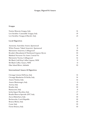# **Grappa, Digestif & Amaro**

# **Grappa**

| Nonino Moscato Grappa, Italy            | 14 |
|-----------------------------------------|----|
| Levi Serafino 'Camomilla' Grappa, Italy | 19 |
| Levi Serafino 'Grappa di Barolo', Italy |    |

## **Local Digestives**

| Autonomy Australian Amaro, Spotswood            | 10 |
|-------------------------------------------------|----|
| White Possum 'Naked Amaretto', Spotswood        | 11 |
| Marionette Amaretto, Collingwood                | 10 |
| Brookie's Macadamia & Wattleseed Liqueur, Byron | 10 |
| Maidenii Nocturne Vin Amer, Central Vic         | 14 |
| Marionette Nocino, Collingwood                  | 12 |
| Mr Black Cold Drip Coffee Liqueur, NSW          | 11 |
| Mr Black Coffee Amaro, NSW                      | 11 |
| Okar Island Bitter, Adelaide                    | 10 |
|                                                 |    |

### **International Amaro & Digestives**

| Citrange Limone Dell'etna, Italy     | 14 |
|--------------------------------------|----|
| Citrange Mandarino Di Sicilia, Italy | 14 |
| Amaro Nonino, Italy                  | 12 |
| Amaro Montenegro, Italy              | 11 |
| Averna, Italy                        | 10 |
| Braulio, Italy                       | 10 |
| Ramazzotti, Italy                    | 11 |
| Ischia Sapori Rucolino, Italy        | 17 |
| Braulio Riserva Speciale 2017, Italy | 19 |
| Zucca Rabarbaro, Italy               | 10 |
| Becherovka, Czech Republic           | 10 |
| Branca Menta, Italy                  | 10 |
| Cynar, Italy                         | 10 |
| Fernet Branca, Italy                 | 10 |
|                                      |    |